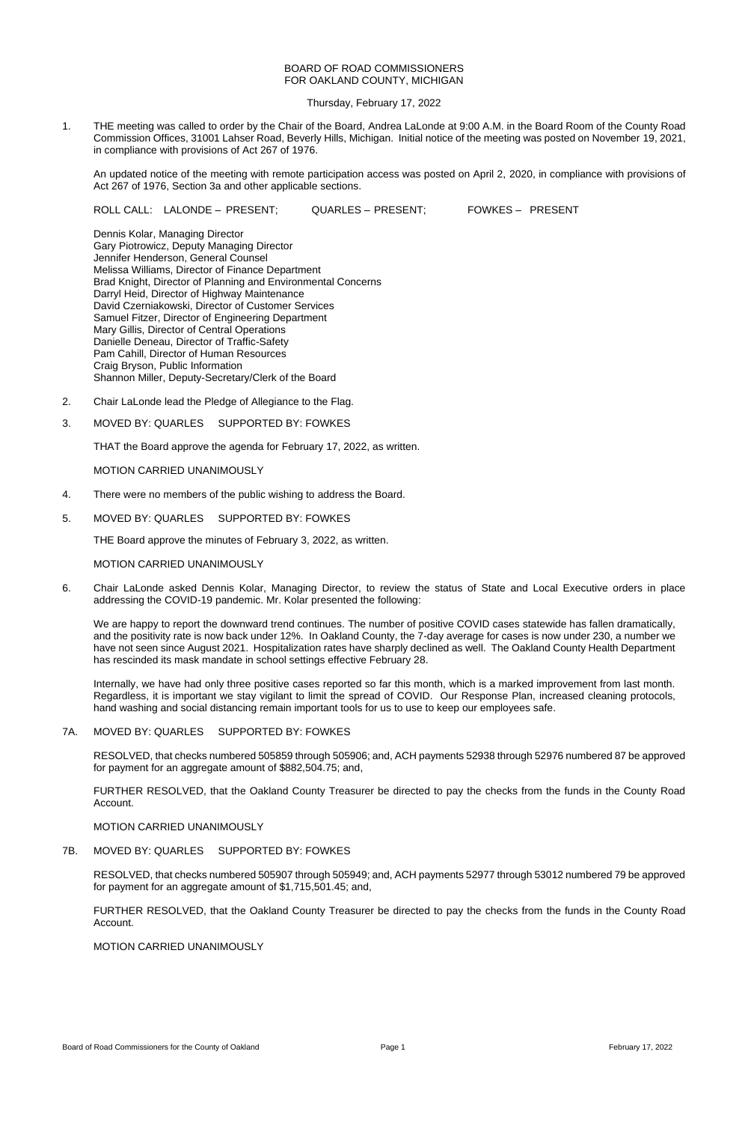## BOARD OF ROAD COMMISSIONERS FOR OAKLAND COUNTY, MICHIGAN

Thursday, February 17, 2022

1. THE meeting was called to order by the Chair of the Board, Andrea LaLonde at 9:00 A.M. in the Board Room of the County Road Commission Offices, 31001 Lahser Road, Beverly Hills, Michigan. Initial notice of the meeting was posted on November 19, 2021, in compliance with provisions of Act 267 of 1976.

An updated notice of the meeting with remote participation access was posted on April 2, 2020, in compliance with provisions of Act 267 of 1976, Section 3a and other applicable sections.

ROLL CALL: LALONDE – PRESENT; QUARLES – PRESENT; FOWKES – PRESENT

Dennis Kolar, Managing Director Gary Piotrowicz, Deputy Managing Director Jennifer Henderson, General Counsel Melissa Williams, Director of Finance Department Brad Knight, Director of Planning and Environmental Concerns Darryl Heid, Director of Highway Maintenance David Czerniakowski, Director of Customer Services Samuel Fitzer, Director of Engineering Department Mary Gillis, Director of Central Operations Danielle Deneau, Director of Traffic-Safety Pam Cahill, Director of Human Resources Craig Bryson, Public Information Shannon Miller, Deputy-Secretary/Clerk of the Board

- 2. Chair LaLonde lead the Pledge of Allegiance to the Flag.
- 3. MOVED BY: QUARLES SUPPORTED BY: FOWKES

THAT the Board approve the agenda for February 17, 2022, as written.

MOTION CARRIED UNANIMOUSLY

- 4. There were no members of the public wishing to address the Board.
- 5. MOVED BY: QUARLES SUPPORTED BY: FOWKES

THE Board approve the minutes of February 3, 2022, as written.

### MOTION CARRIED UNANIMOUSLY

6. Chair LaLonde asked Dennis Kolar, Managing Director, to review the status of State and Local Executive orders in place addressing the COVID-19 pandemic. Mr. Kolar presented the following:

We are happy to report the downward trend continues. The number of positive COVID cases statewide has fallen dramatically, and the positivity rate is now back under 12%. In Oakland County, the 7-day average for cases is now under 230, a number we have not seen since August 2021. Hospitalization rates have sharply declined as well. The Oakland County Health Department has rescinded its mask mandate in school settings effective February 28.

Internally, we have had only three positive cases reported so far this month, which is a marked improvement from last month. Regardless, it is important we stay vigilant to limit the spread of COVID. Our Response Plan, increased cleaning protocols, hand washing and social distancing remain important tools for us to use to keep our employees safe.

## 7A. MOVED BY: QUARLES SUPPORTED BY: FOWKES

RESOLVED, that checks numbered 505859 through 505906; and, ACH payments 52938 through 52976 numbered 87 be approved for payment for an aggregate amount of \$882,504.75; and,

FURTHER RESOLVED, that the Oakland County Treasurer be directed to pay the checks from the funds in the County Road Account.

# MOTION CARRIED UNANIMOUSLY

## 7B. MOVED BY: QUARLES SUPPORTED BY: FOWKES

RESOLVED, that checks numbered 505907 through 505949; and, ACH payments 52977 through 53012 numbered 79 be approved for payment for an aggregate amount of \$1,715,501.45; and,

FURTHER RESOLVED, that the Oakland County Treasurer be directed to pay the checks from the funds in the County Road Account.

#### MOTION CARRIED UNANIMOUSLY

Board of Road Commissioners for the County of Oakland **Page 1** Page 1 **Page 1 Page 1 Page 1** February 17, 2022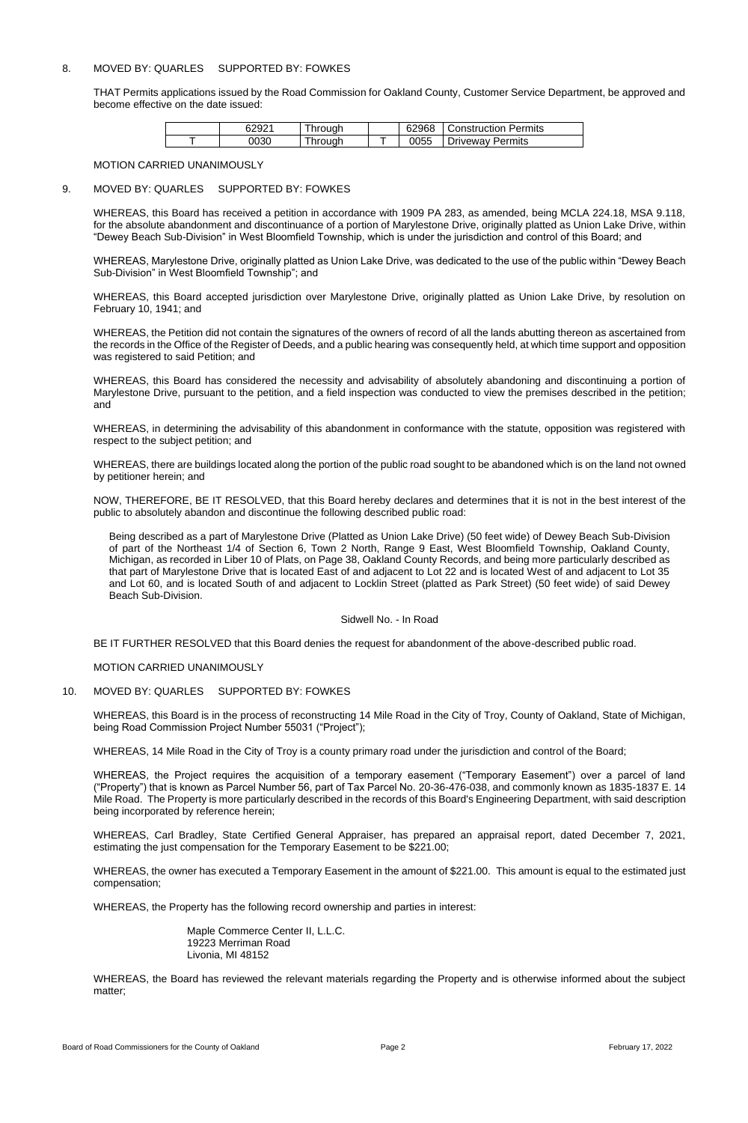## 8. MOVED BY: QUARLES SUPPORTED BY: FOWKES

THAT Permits applications issued by the Road Commission for Oakland County, Customer Service Department, be approved and become effective on the date issued:

| 62921 | hrough | 62968 | <b>Construction Permits</b> |
|-------|--------|-------|-----------------------------|
| 0030  | hrough | 0055  | <b>Driveway Permits</b>     |

#### MOTION CARRIED UNANIMOUSLY

### 9. MOVED BY: QUARLES SUPPORTED BY: FOWKES

WHEREAS, this Board has received a petition in accordance with 1909 PA 283, as amended, being MCLA 224.18, MSA 9.118, for the absolute abandonment and discontinuance of a portion of Marylestone Drive, originally platted as Union Lake Drive, within "Dewey Beach Sub-Division" in West Bloomfield Township, which is under the jurisdiction and control of this Board; and

WHEREAS, Marylestone Drive, originally platted as Union Lake Drive, was dedicated to the use of the public within "Dewey Beach Sub-Division" in West Bloomfield Township"; and

WHEREAS, this Board accepted jurisdiction over Marylestone Drive, originally platted as Union Lake Drive, by resolution on February 10, 1941; and

WHEREAS, the Petition did not contain the signatures of the owners of record of all the lands abutting thereon as ascertained from the records in the Office of the Register of Deeds, and a public hearing was consequently held, at which time support and opposition was registered to said Petition; and

WHEREAS, this Board has considered the necessity and advisability of absolutely abandoning and discontinuing a portion of Marylestone Drive, pursuant to the petition, and a field inspection was conducted to view the premises described in the petition; and

WHEREAS, in determining the advisability of this abandonment in conformance with the statute, opposition was registered with respect to the subject petition; and

WHEREAS, there are buildings located along the portion of the public road sought to be abandoned which is on the land not owned by petitioner herein; and

NOW, THEREFORE, BE IT RESOLVED, that this Board hereby declares and determines that it is not in the best interest of the public to absolutely abandon and discontinue the following described public road:

Being described as a part of Marylestone Drive (Platted as Union Lake Drive) (50 feet wide) of Dewey Beach Sub-Division of part of the Northeast 1/4 of Section 6, Town 2 North, Range 9 East, West Bloomfield Township, Oakland County, Michigan, as recorded in Liber 10 of Plats, on Page 38, Oakland County Records, and being more particularly described as that part of Marylestone Drive that is located East of and adjacent to Lot 22 and is located West of and adjacent to Lot 35 and Lot 60, and is located South of and adjacent to Locklin Street (platted as Park Street) (50 feet wide) of said Dewey Beach Sub-Division.

### Sidwell No. - In Road

BE IT FURTHER RESOLVED that this Board denies the request for abandonment of the above-described public road.

MOTION CARRIED UNANIMOUSLY

### 10. MOVED BY: QUARLES SUPPORTED BY: FOWKES

WHEREAS, this Board is in the process of reconstructing 14 Mile Road in the City of Troy, County of Oakland, State of Michigan, being Road Commission Project Number 55031 ("Project");

WHEREAS, 14 Mile Road in the City of Troy is a county primary road under the jurisdiction and control of the Board;

WHEREAS, the Project requires the acquisition of a temporary easement ("Temporary Easement") over a parcel of land

("Property") that is known as Parcel Number 56, part of Tax Parcel No. 20-36-476-038, and commonly known as 1835-1837 E. 14 Mile Road. The Property is more particularly described in the records of this Board's Engineering Department, with said description being incorporated by reference herein;

WHEREAS, Carl Bradley, State Certified General Appraiser, has prepared an appraisal report, dated December 7, 2021, estimating the just compensation for the Temporary Easement to be \$221.00;

WHEREAS, the owner has executed a Temporary Easement in the amount of \$221.00. This amount is equal to the estimated just compensation;

WHEREAS, the Property has the following record ownership and parties in interest:

Maple Commerce Center II, L.L.C. 19223 Merriman Road Livonia, MI 48152

WHEREAS, the Board has reviewed the relevant materials regarding the Property and is otherwise informed about the subject matter;

Board of Road Commissioners for the County of Oakland **Page 2** Page 2 February 17, 2022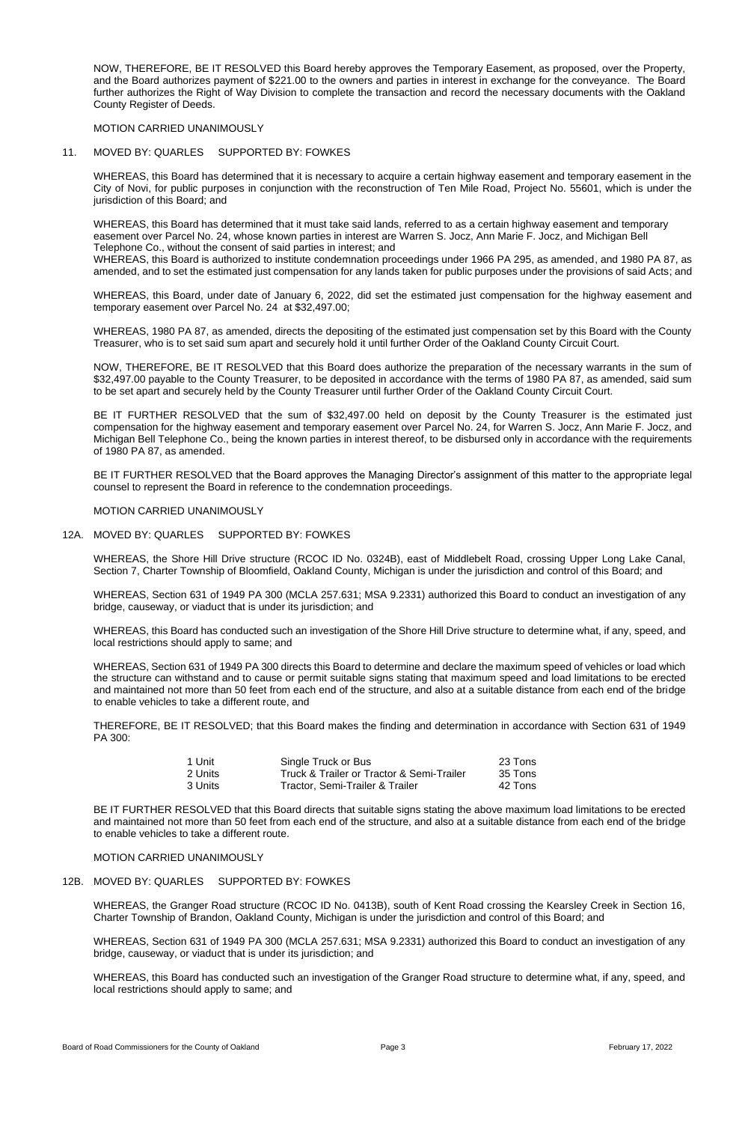NOW, THEREFORE, BE IT RESOLVED this Board hereby approves the Temporary Easement, as proposed, over the Property, and the Board authorizes payment of \$221.00 to the owners and parties in interest in exchange for the conveyance. The Board further authorizes the Right of Way Division to complete the transaction and record the necessary documents with the Oakland County Register of Deeds.

MOTION CARRIED UNANIMOUSLY

## 11. MOVED BY: QUARLES SUPPORTED BY: FOWKES

WHEREAS, this Board has determined that it is necessary to acquire a certain highway easement and temporary easement in the City of Novi, for public purposes in conjunction with the reconstruction of Ten Mile Road, Project No. 55601, which is under the jurisdiction of this Board; and

WHEREAS, this Board has determined that it must take said lands, referred to as a certain highway easement and temporary easement over Parcel No. 24, whose known parties in interest are Warren S. Jocz, Ann Marie F. Jocz, and Michigan Bell Telephone Co., without the consent of said parties in interest; and

WHEREAS, this Board is authorized to institute condemnation proceedings under 1966 PA 295, as amended, and 1980 PA 87, as amended, and to set the estimated just compensation for any lands taken for public purposes under the provisions of said Acts; and

WHEREAS, this Board, under date of January 6, 2022, did set the estimated just compensation for the highway easement and temporary easement over Parcel No. 24 at \$32,497.00;

WHEREAS, 1980 PA 87, as amended, directs the depositing of the estimated just compensation set by this Board with the County Treasurer, who is to set said sum apart and securely hold it until further Order of the Oakland County Circuit Court.

NOW, THEREFORE, BE IT RESOLVED that this Board does authorize the preparation of the necessary warrants in the sum of \$32,497.00 payable to the County Treasurer, to be deposited in accordance with the terms of 1980 PA 87, as amended, said sum to be set apart and securely held by the County Treasurer until further Order of the Oakland County Circuit Court.

BE IT FURTHER RESOLVED that the sum of \$32,497.00 held on deposit by the County Treasurer is the estimated just compensation for the highway easement and temporary easement over Parcel No. 24, for Warren S. Jocz, Ann Marie F. Jocz, and Michigan Bell Telephone Co., being the known parties in interest thereof, to be disbursed only in accordance with the requirements of 1980 PA 87, as amended.

BE IT FURTHER RESOLVED that the Board approves the Managing Director's assignment of this matter to the appropriate legal counsel to represent the Board in reference to the condemnation proceedings.

### MOTION CARRIED UNANIMOUSLY

### 12A. MOVED BY: QUARLES SUPPORTED BY: FOWKES

WHEREAS, the Shore Hill Drive structure (RCOC ID No. 0324B), east of Middlebelt Road, crossing Upper Long Lake Canal, Section 7, Charter Township of Bloomfield, Oakland County, Michigan is under the jurisdiction and control of this Board; and

WHEREAS, Section 631 of 1949 PA 300 (MCLA 257.631; MSA 9.2331) authorized this Board to conduct an investigation of any bridge, causeway, or viaduct that is under its jurisdiction; and

WHEREAS, this Board has conducted such an investigation of the Shore Hill Drive structure to determine what, if any, speed, and local restrictions should apply to same; and

WHEREAS, Section 631 of 1949 PA 300 directs this Board to determine and declare the maximum speed of vehicles or load which the structure can withstand and to cause or permit suitable signs stating that maximum speed and load limitations to be erected and maintained not more than 50 feet from each end of the structure, and also at a suitable distance from each end of the bridge to enable vehicles to take a different route, and

THEREFORE, BE IT RESOLVED; that this Board makes the finding and determination in accordance with Section 631 of 1949 PA 300:

| 1 Unit  | Single Truck or Bus                       | 23 Tons |
|---------|-------------------------------------------|---------|
| 2 Units | Truck & Trailer or Tractor & Semi-Trailer | 35 Tons |

3 Units Tractor, Semi-Trailer & Trailer 42 Tons

BE IT FURTHER RESOLVED that this Board directs that suitable signs stating the above maximum load limitations to be erected and maintained not more than 50 feet from each end of the structure, and also at a suitable distance from each end of the bridge to enable vehicles to take a different route.

MOTION CARRIED UNANIMOUSLY

# 12B. MOVED BY: QUARLES SUPPORTED BY: FOWKES

WHEREAS, the Granger Road structure (RCOC ID No. 0413B), south of Kent Road crossing the Kearsley Creek in Section 16, Charter Township of Brandon, Oakland County, Michigan is under the jurisdiction and control of this Board; and

WHEREAS, Section 631 of 1949 PA 300 (MCLA 257.631; MSA 9.2331) authorized this Board to conduct an investigation of any bridge, causeway, or viaduct that is under its jurisdiction; and

WHEREAS, this Board has conducted such an investigation of the Granger Road structure to determine what, if any, speed, and local restrictions should apply to same; and

Board of Road Commissioners for the County of Oakland **Page 3** Page 3 **February 17, 2022** February 17, 2022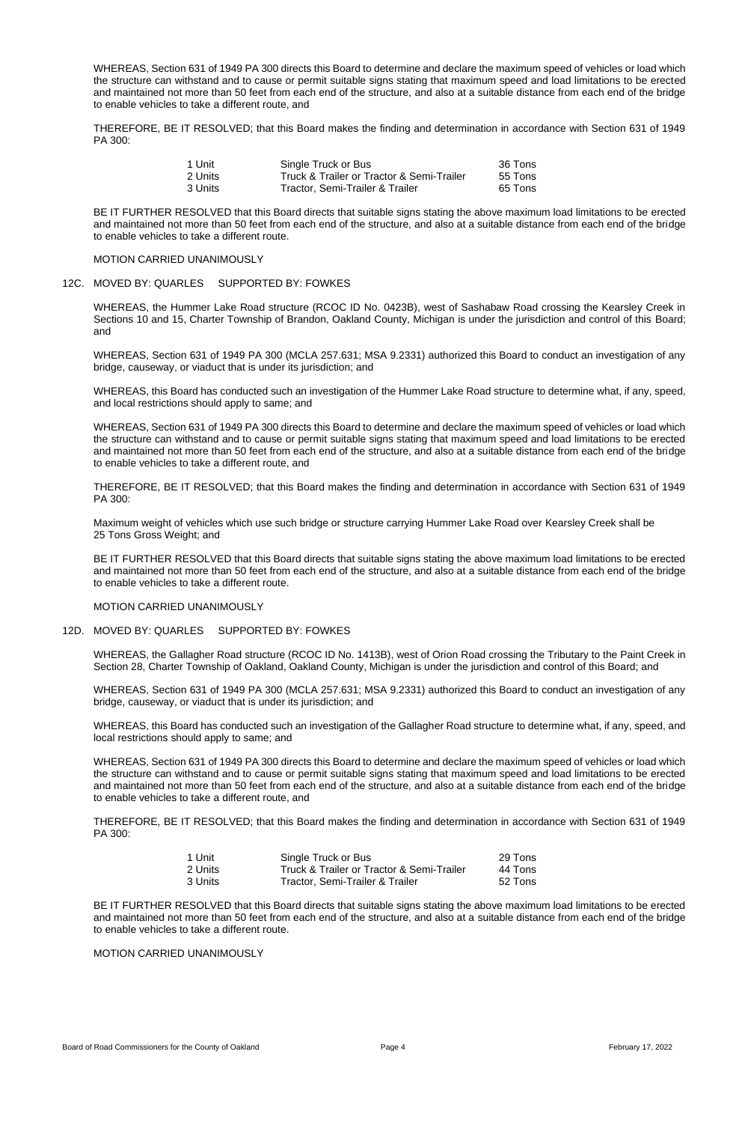WHEREAS, Section 631 of 1949 PA 300 directs this Board to determine and declare the maximum speed of vehicles or load which the structure can withstand and to cause or permit suitable signs stating that maximum speed and load limitations to be erected and maintained not more than 50 feet from each end of the structure, and also at a suitable distance from each end of the bridge to enable vehicles to take a different route, and

THEREFORE, BE IT RESOLVED; that this Board makes the finding and determination in accordance with Section 631 of 1949 PA 300:

| 1 Unit   | Single Truck or Bus                       | 36 Tons |
|----------|-------------------------------------------|---------|
| 2 Units. | Truck & Trailer or Tractor & Semi-Trailer | 55 Tons |
| 3 Units  | Tractor, Semi-Trailer & Trailer           | 65 Tons |

BE IT FURTHER RESOLVED that this Board directs that suitable signs stating the above maximum load limitations to be erected and maintained not more than 50 feet from each end of the structure, and also at a suitable distance from each end of the bridge to enable vehicles to take a different route.

### MOTION CARRIED UNANIMOUSLY

## 12C. MOVED BY: QUARLES SUPPORTED BY: FOWKES

WHEREAS, the Hummer Lake Road structure (RCOC ID No. 0423B), west of Sashabaw Road crossing the Kearsley Creek in Sections 10 and 15, Charter Township of Brandon, Oakland County, Michigan is under the jurisdiction and control of this Board; and

WHEREAS, Section 631 of 1949 PA 300 (MCLA 257.631; MSA 9.2331) authorized this Board to conduct an investigation of any bridge, causeway, or viaduct that is under its jurisdiction; and

WHEREAS, this Board has conducted such an investigation of the Hummer Lake Road structure to determine what, if any, speed, and local restrictions should apply to same; and

WHEREAS, Section 631 of 1949 PA 300 directs this Board to determine and declare the maximum speed of vehicles or load which the structure can withstand and to cause or permit suitable signs stating that maximum speed and load limitations to be erected and maintained not more than 50 feet from each end of the structure, and also at a suitable distance from each end of the bridge to enable vehicles to take a different route, and

THEREFORE, BE IT RESOLVED; that this Board makes the finding and determination in accordance with Section 631 of 1949 PA 300:

Maximum weight of vehicles which use such bridge or structure carrying Hummer Lake Road over Kearsley Creek shall be 25 Tons Gross Weight; and

BE IT FURTHER RESOLVED that this Board directs that suitable signs stating the above maximum load limitations to be erected and maintained not more than 50 feet from each end of the structure, and also at a suitable distance from each end of the bridge to enable vehicles to take a different route.

### MOTION CARRIED UNANIMOUSLY

### 12D. MOVED BY: QUARLES SUPPORTED BY: FOWKES

WHEREAS, the Gallagher Road structure (RCOC ID No. 1413B), west of Orion Road crossing the Tributary to the Paint Creek in Section 28, Charter Township of Oakland, Oakland County, Michigan is under the jurisdiction and control of this Board; and

WHEREAS, Section 631 of 1949 PA 300 (MCLA 257.631; MSA 9.2331) authorized this Board to conduct an investigation of any bridge, causeway, or viaduct that is under its jurisdiction; and

WHEREAS, this Board has conducted such an investigation of the Gallagher Road structure to determine what, if any, speed, and local restrictions should apply to same; and

WHEREAS, Section 631 of 1949 PA 300 directs this Board to determine and declare the maximum speed of vehicles or load which the structure can withstand and to cause or permit suitable signs stating that maximum speed and load limitations to be erected

and maintained not more than 50 feet from each end of the structure, and also at a suitable distance from each end of the bridge to enable vehicles to take a different route, and

THEREFORE, BE IT RESOLVED; that this Board makes the finding and determination in accordance with Section 631 of 1949 PA 300:

| 1 Unit  | Single Truck or Bus                       | 29 Tons |
|---------|-------------------------------------------|---------|
| 2 Units | Truck & Trailer or Tractor & Semi-Trailer | 44 Tons |
| 3 Units | Tractor, Semi-Trailer & Trailer           | 52 Tons |

BE IT FURTHER RESOLVED that this Board directs that suitable signs stating the above maximum load limitations to be erected and maintained not more than 50 feet from each end of the structure, and also at a suitable distance from each end of the bridge to enable vehicles to take a different route.

MOTION CARRIED UNANIMOUSLY

Board of Road Commissioners for the County of Oakland **Page 4** Page 4 **February 17, 2022** February 17, 2022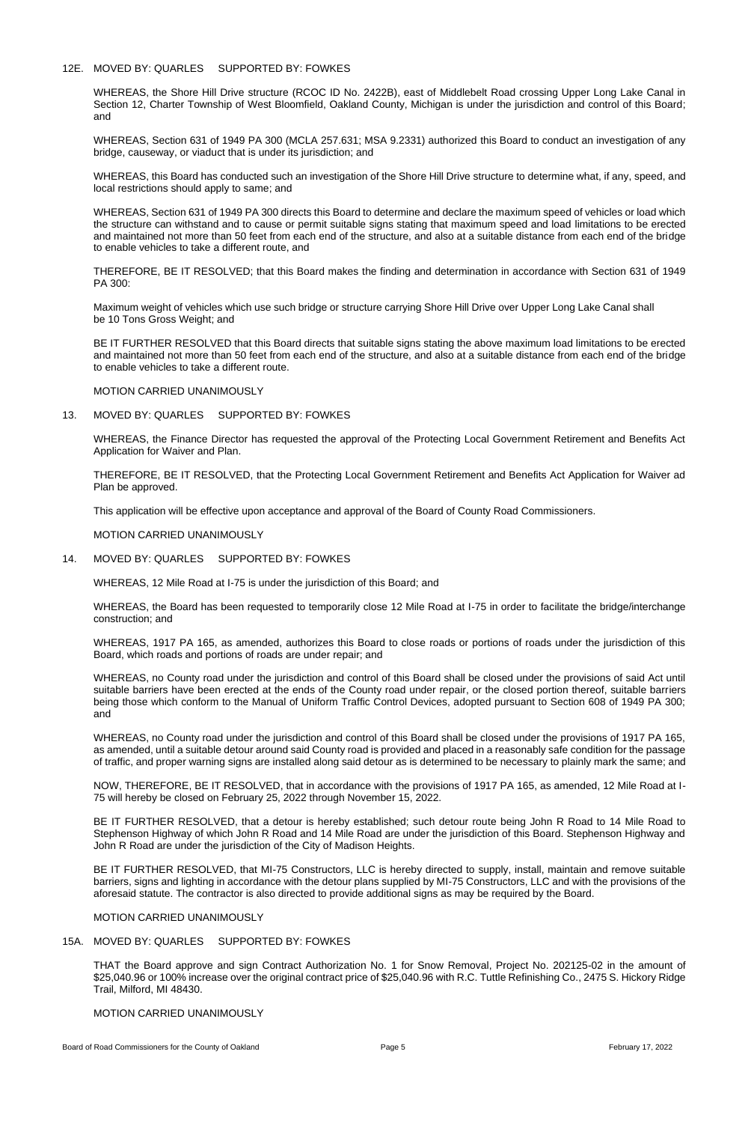### 12E. MOVED BY: QUARLES SUPPORTED BY: FOWKES

WHEREAS, the Shore Hill Drive structure (RCOC ID No. 2422B), east of Middlebelt Road crossing Upper Long Lake Canal in Section 12, Charter Township of West Bloomfield, Oakland County, Michigan is under the jurisdiction and control of this Board; and

WHEREAS, Section 631 of 1949 PA 300 (MCLA 257.631; MSA 9.2331) authorized this Board to conduct an investigation of any bridge, causeway, or viaduct that is under its jurisdiction; and

WHEREAS, this Board has conducted such an investigation of the Shore Hill Drive structure to determine what, if any, speed, and local restrictions should apply to same; and

WHEREAS, Section 631 of 1949 PA 300 directs this Board to determine and declare the maximum speed of vehicles or load which the structure can withstand and to cause or permit suitable signs stating that maximum speed and load limitations to be erected and maintained not more than 50 feet from each end of the structure, and also at a suitable distance from each end of the bridge to enable vehicles to take a different route, and

THEREFORE, BE IT RESOLVED; that this Board makes the finding and determination in accordance with Section 631 of 1949 PA 300:

Maximum weight of vehicles which use such bridge or structure carrying Shore Hill Drive over Upper Long Lake Canal shall be 10 Tons Gross Weight; and

BE IT FURTHER RESOLVED that this Board directs that suitable signs stating the above maximum load limitations to be erected and maintained not more than 50 feet from each end of the structure, and also at a suitable distance from each end of the bridge to enable vehicles to take a different route.

MOTION CARRIED UNANIMOUSLY

13. MOVED BY: QUARLES SUPPORTED BY: FOWKES

WHEREAS, the Finance Director has requested the approval of the Protecting Local Government Retirement and Benefits Act Application for Waiver and Plan.

THEREFORE, BE IT RESOLVED, that the Protecting Local Government Retirement and Benefits Act Application for Waiver ad Plan be approved.

This application will be effective upon acceptance and approval of the Board of County Road Commissioners.

MOTION CARRIED UNANIMOUSLY

14. MOVED BY: QUARLES SUPPORTED BY: FOWKES

WHEREAS, 12 Mile Road at I-75 is under the jurisdiction of this Board; and

WHEREAS, the Board has been requested to temporarily close 12 Mile Road at I-75 in order to facilitate the bridge/interchange construction; and

WHEREAS, 1917 PA 165, as amended, authorizes this Board to close roads or portions of roads under the jurisdiction of this Board, which roads and portions of roads are under repair; and

WHEREAS, no County road under the jurisdiction and control of this Board shall be closed under the provisions of said Act until suitable barriers have been erected at the ends of the County road under repair, or the closed portion thereof, suitable barriers being those which conform to the Manual of Uniform Traffic Control Devices, adopted pursuant to Section 608 of 1949 PA 300; and

WHEREAS, no County road under the jurisdiction and control of this Board shall be closed under the provisions of 1917 PA 165, as amended, until a suitable detour around said County road is provided and placed in a reasonably safe condition for the passage of traffic, and proper warning signs are installed along said detour as is determined to be necessary to plainly mark the same; and

NOW, THEREFORE, BE IT RESOLVED, that in accordance with the provisions of 1917 PA 165, as amended, 12 Mile Road at I-75 will hereby be closed on February 25, 2022 through November 15, 2022.

BE IT FURTHER RESOLVED, that a detour is hereby established; such detour route being John R Road to 14 Mile Road to Stephenson Highway of which John R Road and 14 Mile Road are under the jurisdiction of this Board. Stephenson Highway and John R Road are under the jurisdiction of the City of Madison Heights.

BE IT FURTHER RESOLVED, that MI-75 Constructors, LLC is hereby directed to supply, install, maintain and remove suitable barriers, signs and lighting in accordance with the detour plans supplied by MI-75 Constructors, LLC and with the provisions of the aforesaid statute. The contractor is also directed to provide additional signs as may be required by the Board.

MOTION CARRIED UNANIMOUSLY

## 15A. MOVED BY: QUARLES SUPPORTED BY: FOWKES

THAT the Board approve and sign Contract Authorization No. 1 for Snow Removal, Project No. 202125-02 in the amount of \$25,040.96 or 100% increase over the original contract price of \$25,040.96 with R.C. Tuttle Refinishing Co., 2475 S. Hickory Ridge Trail, Milford, MI 48430.

## MOTION CARRIED UNANIMOUSLY

Board of Road Commissioners for the County of Oakland **Page 5** Page 5 **February 17, 2022** February 17, 2022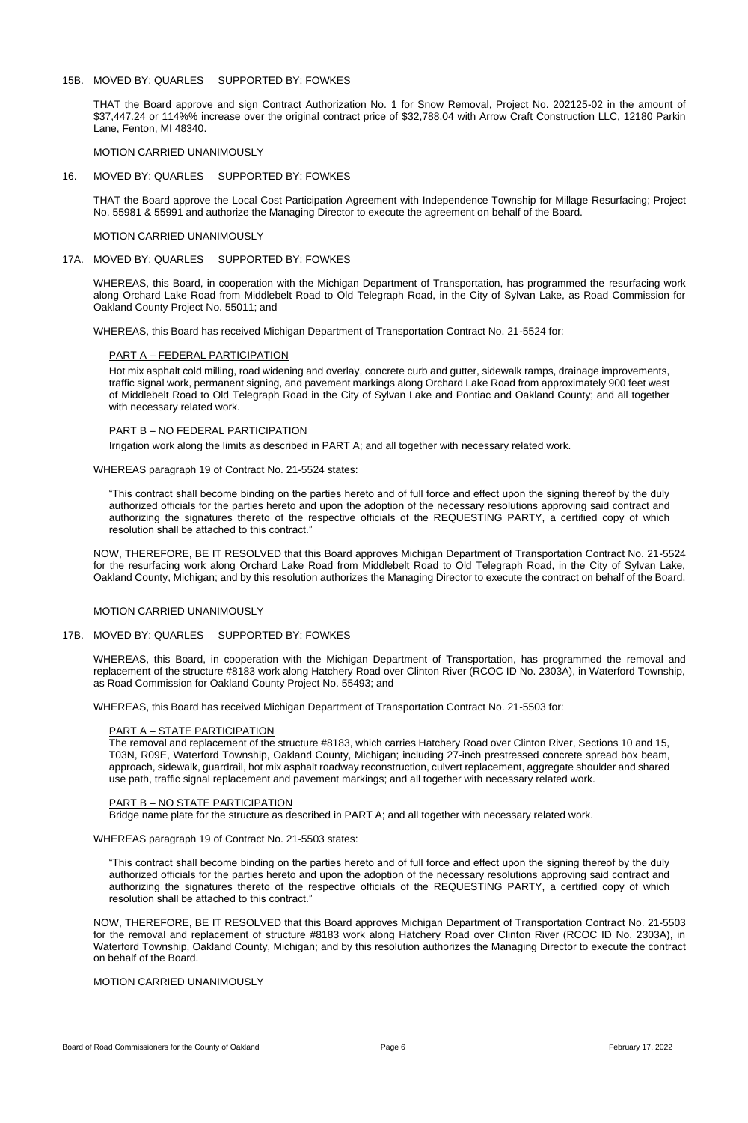## 15B. MOVED BY: QUARLES SUPPORTED BY: FOWKES

THAT the Board approve and sign Contract Authorization No. 1 for Snow Removal, Project No. 202125-02 in the amount of \$37,447.24 or 114%% increase over the original contract price of \$32,788.04 with Arrow Craft Construction LLC, 12180 Parkin Lane, Fenton, MI 48340.

MOTION CARRIED UNANIMOUSLY

### 16. MOVED BY: QUARLES SUPPORTED BY: FOWKES

THAT the Board approve the Local Cost Participation Agreement with Independence Township for Millage Resurfacing; Project No. 55981 & 55991 and authorize the Managing Director to execute the agreement on behalf of the Board.

## MOTION CARRIED UNANIMOUSLY

## 17A. MOVED BY: QUARLES SUPPORTED BY: FOWKES

WHEREAS, this Board, in cooperation with the Michigan Department of Transportation, has programmed the resurfacing work along Orchard Lake Road from Middlebelt Road to Old Telegraph Road, in the City of Sylvan Lake, as Road Commission for Oakland County Project No. 55011; and

WHEREAS, this Board has received Michigan Department of Transportation Contract No. 21-5524 for:

## PART A – FEDERAL PARTICIPATION

Hot mix asphalt cold milling, road widening and overlay, concrete curb and gutter, sidewalk ramps, drainage improvements, traffic signal work, permanent signing, and pavement markings along Orchard Lake Road from approximately 900 feet west of Middlebelt Road to Old Telegraph Road in the City of Sylvan Lake and Pontiac and Oakland County; and all together with necessary related work.

### PART B – NO FEDERAL PARTICIPATION

Irrigation work along the limits as described in PART A; and all together with necessary related work.

WHEREAS paragraph 19 of Contract No. 21-5524 states:

"This contract shall become binding on the parties hereto and of full force and effect upon the signing thereof by the duly authorized officials for the parties hereto and upon the adoption of the necessary resolutions approving said contract and authorizing the signatures thereto of the respective officials of the REQUESTING PARTY, a certified copy of which resolution shall be attached to this contract."

NOW, THEREFORE, BE IT RESOLVED that this Board approves Michigan Department of Transportation Contract No. 21-5524 for the resurfacing work along Orchard Lake Road from Middlebelt Road to Old Telegraph Road, in the City of Sylvan Lake, Oakland County, Michigan; and by this resolution authorizes the Managing Director to execute the contract on behalf of the Board.

### MOTION CARRIED UNANIMOUSLY

### 17B. MOVED BY: QUARLES SUPPORTED BY: FOWKES

WHEREAS, this Board, in cooperation with the Michigan Department of Transportation, has programmed the removal and replacement of the structure #8183 work along Hatchery Road over Clinton River (RCOC ID No. 2303A), in Waterford Township, as Road Commission for Oakland County Project No. 55493; and

WHEREAS, this Board has received Michigan Department of Transportation Contract No. 21-5503 for:

### PART A – STATE PARTICIPATION

The removal and replacement of the structure #8183, which carries Hatchery Road over Clinton River, Sections 10 and 15, T03N, R09E, Waterford Township, Oakland County, Michigan; including 27-inch prestressed concrete spread box beam, approach, sidewalk, guardrail, hot mix asphalt roadway reconstruction, culvert replacement, aggregate shoulder and shared use path, traffic signal replacement and pavement markings; and all together with necessary related work.

#### PART B – NO STATE PARTICIPATION

Bridge name plate for the structure as described in PART A; and all together with necessary related work.

WHEREAS paragraph 19 of Contract No. 21-5503 states:

"This contract shall become binding on the parties hereto and of full force and effect upon the signing thereof by the duly authorized officials for the parties hereto and upon the adoption of the necessary resolutions approving said contract and authorizing the signatures thereto of the respective officials of the REQUESTING PARTY, a certified copy of which resolution shall be attached to this contract."

NOW, THEREFORE, BE IT RESOLVED that this Board approves Michigan Department of Transportation Contract No. 21-5503 for the removal and replacement of structure #8183 work along Hatchery Road over Clinton River (RCOC ID No. 2303A), in Waterford Township, Oakland County, Michigan; and by this resolution authorizes the Managing Director to execute the contract on behalf of the Board.

# MOTION CARRIED UNANIMOUSLY

Board of Road Commissioners for the County of Oakland **Page 6 February 17, 2022** February 17, 2022